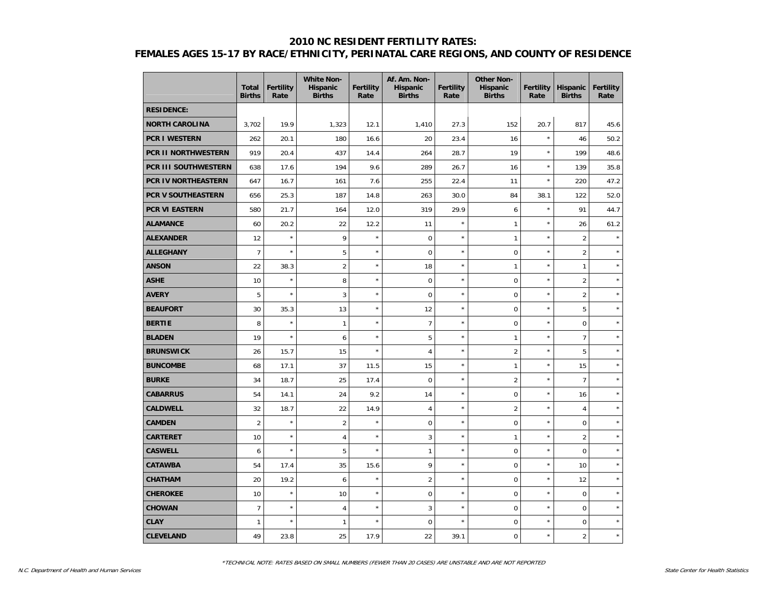#### **2010 NC RESIDENT FERTILITY RATES:**

# **FEMALES AGES 15-17 BY RACE/ETHNICITY, PERINATAL CARE REGIONS, AND COUNTY OF RESIDENCE**

|                            | <b>Total</b><br><b>Births</b> | <b>Fertility</b><br>Rate | <b>White Non-</b><br>Hispanic<br><b>Births</b> | <b>Fertility</b><br>Rate | Af. Am. Non-<br><b>Hispanic</b><br><b>Births</b> | <b>Fertility</b><br>Rate | <b>Other Non-</b><br><b>Hispanic</b><br><b>Births</b> | <b>Fertility</b><br>Rate | Hispanic<br><b>Births</b> | <b>Fertility</b><br>Rate |
|----------------------------|-------------------------------|--------------------------|------------------------------------------------|--------------------------|--------------------------------------------------|--------------------------|-------------------------------------------------------|--------------------------|---------------------------|--------------------------|
| <b>RESIDENCE:</b>          |                               |                          |                                                |                          |                                                  |                          |                                                       |                          |                           |                          |
| <b>NORTH CAROLINA</b>      | 3,702                         | 19.9                     | 1,323                                          | 12.1                     | 1,410                                            | 27.3                     | 152                                                   | 20.7                     | 817                       | 45.6                     |
| <b>PCR I WESTERN</b>       | 262                           | 20.1                     | 180                                            | 16.6                     | 20                                               | 23.4                     | 16                                                    | $\star$                  | 46                        | 50.2                     |
| PCR II NORTHWESTERN        | 919                           | 20.4                     | 437                                            | 14.4                     | 264                                              | 28.7                     | 19                                                    | $^{\star}$               | 199                       | 48.6                     |
| PCR III SOUTHWESTERN       | 638                           | 17.6                     | 194                                            | 9.6                      | 289                                              | 26.7                     | 16                                                    | $\star$                  | 139                       | 35.8                     |
| <b>PCR IV NORTHEASTERN</b> | 647                           | 16.7                     | 161                                            | 7.6                      | 255                                              | 22.4                     | 11                                                    | $\star$                  | 220                       | 47.2                     |
| PCR V SOUTHEASTERN         | 656                           | 25.3                     | 187                                            | 14.8                     | 263                                              | 30.0                     | 84                                                    | 38.1                     | 122                       | 52.0                     |
| PCR VI EASTERN             | 580                           | 21.7                     | 164                                            | 12.0                     | 319                                              | 29.9                     | 6                                                     | $\star$                  | 91                        | 44.7                     |
| <b>ALAMANCE</b>            | 60                            | 20.2                     | 22                                             | 12.2                     | 11                                               | $\star$                  | $\mathbf{1}$                                          | $\star$                  | 26                        | 61.2                     |
| <b>ALEXANDER</b>           | 12                            | $\star$                  | 9                                              | $\star$                  | $\pmb{0}$                                        | $\star$                  | $\mathbf{1}$                                          | $\star$                  | $\overline{2}$            | $\star$                  |
| <b>ALLEGHANY</b>           | $\overline{7}$                | $\star$                  | 5                                              | $\star$                  | $\mathbf 0$                                      | $\star$                  | 0                                                     | $\star$                  | $\sqrt{2}$                | $\star$                  |
| <b>ANSON</b>               | 22                            | 38.3                     | $\overline{2}$                                 | $\star$                  | 18                                               | $\star$                  | $\mathbf{1}$                                          | $\star$                  | $\mathbf{1}$              | $\star$                  |
| <b>ASHE</b>                | 10                            | $\star$                  | 8                                              | $\star$                  | $\overline{0}$                                   | $\star$                  | 0                                                     | $\star$                  | $\overline{2}$            | $\star$                  |
| <b>AVERY</b>               | 5                             | $\star$                  | 3                                              | $\star$                  | $\mathbf 0$                                      | $\star$                  | 0                                                     | ×                        | $\overline{2}$            | $\star$                  |
| <b>BEAUFORT</b>            | 30                            | 35.3                     | 13                                             | $\star$                  | 12                                               | $\star$                  | $\overline{0}$                                        | $\star$                  | $\mathbf 5$               |                          |
| <b>BERTIE</b>              | 8                             | $\star$                  | $\mathbf{1}$                                   | $\star$                  | $\overline{7}$                                   | $\star$                  | 0                                                     | ×                        | $\mathbf 0$               | ×                        |
| <b>BLADEN</b>              | 19                            | $\star$                  | 6                                              | $\star$                  | 5                                                | $\star$                  | $\mathbf{1}$                                          | ×                        | $\overline{7}$            | $\star$                  |
| <b>BRUNSWICK</b>           | 26                            | 15.7                     | 15                                             | $\star$                  | $\overline{4}$                                   | $\star$                  | $\overline{2}$                                        | $\star$                  | 5                         | $\star$                  |
| <b>BUNCOMBE</b>            | 68                            | 17.1                     | 37                                             | 11.5                     | 15                                               | $\star$                  | $\mathbf{1}$                                          | $^{\star}$               | 15                        | ×                        |
| <b>BURKE</b>               | 34                            | 18.7                     | 25                                             | 17.4                     | $\mathsf 0$                                      | $\star$                  | $\overline{2}$                                        | ×                        | $\overline{7}$            | $\star$                  |
| <b>CABARRUS</b>            | 54                            | 14.1                     | 24                                             | 9.2                      | 14                                               | $\star$                  | 0                                                     | $\star$                  | 16                        |                          |
| <b>CALDWELL</b>            | 32                            | 18.7                     | 22                                             | 14.9                     | $\overline{4}$                                   | $\star$                  | $\overline{2}$                                        | $^{\star}$               | $\overline{4}$            | y,                       |
| <b>CAMDEN</b>              | $\overline{2}$                | $\star$                  | $\overline{2}$                                 | $\star$                  | 0                                                | $\star$                  | 0                                                     | $\star$                  | $\pmb{0}$                 | $\star$                  |
| <b>CARTERET</b>            | 10                            | $\star$                  | 4                                              | $\star$                  | 3                                                | $\star$                  | $\mathbf{1}$                                          | $\star$                  | $\overline{2}$            | $\star$                  |
| <b>CASWELL</b>             | 6                             | $\star$                  | 5                                              | $\star$                  | $\mathbf{1}$                                     | $\star$                  | 0                                                     | $^{\star}$               | $\pmb{0}$                 | $\star$                  |
| <b>CATAWBA</b>             | 54                            | 17.4                     | 35                                             | 15.6                     | 9                                                | $\star$                  | 0                                                     | ×                        | 10                        | $\star$                  |
| <b>CHATHAM</b>             | 20                            | 19.2                     | 6                                              | $\star$                  | $\overline{2}$                                   | $\star$                  | 0                                                     | ×                        | 12                        | $\star$                  |
| <b>CHEROKEE</b>            | 10                            | $\star$                  | 10                                             | $\star$                  | $\mathbf 0$                                      | $\star$                  | 0                                                     | $\star$                  | $\mathbf 0$               | $\star$                  |
| <b>CHOWAN</b>              | $\overline{7}$                | $\star$                  | $\overline{\mathbf{4}}$                        | $\star$                  | 3                                                | $\star$                  | 0                                                     | ×                        | $\pmb{0}$                 | $\star$                  |
| <b>CLAY</b>                | $\mathbf{1}$                  | $\star$                  | $\mathbf{1}$                                   | $\star$                  | 0                                                | $\star$                  | 0                                                     | $\star$                  | $\mathbf 0$               | $\star$                  |
| <b>CLEVELAND</b>           | 49                            | 23.8                     | 25                                             | 17.9                     | 22                                               | 39.1                     | 0                                                     | $\star$                  | $\overline{2}$            | $\star$                  |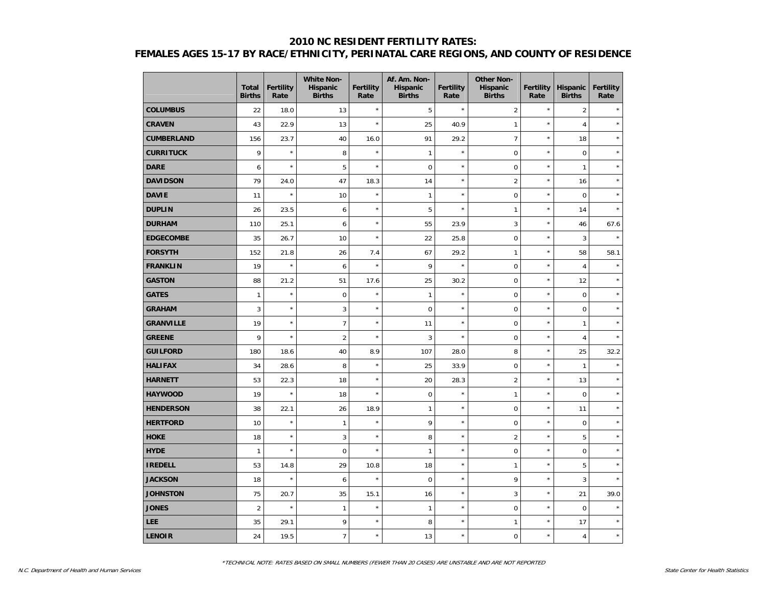## **2010 NC RESIDENT FERTILITY RATES: FEMALES AGES 15-17 BY RACE/ETHNICITY, PERINATAL CARE REGIONS, AND COUNTY OF RESIDENCE**

|                   | <b>Total</b><br><b>Births</b> | <b>Fertility</b><br>Rate | <b>White Non-</b><br>Hispanic<br><b>Births</b> | Fertility<br>Rate | Af. Am. Non-<br>Hispanic<br><b>Births</b> | Fertility<br>Rate | <b>Other Non-</b><br>Hispanic<br><b>Births</b> | <b>Fertility</b><br>Rate | <b>Hispanic</b><br><b>Births</b> | <b>Fertility</b><br>Rate |
|-------------------|-------------------------------|--------------------------|------------------------------------------------|-------------------|-------------------------------------------|-------------------|------------------------------------------------|--------------------------|----------------------------------|--------------------------|
| <b>COLUMBUS</b>   | 22                            | 18.0                     | 13                                             | $\star$           | 5                                         | $\star$           | $\overline{2}$                                 | $\star$                  | $\overline{2}$                   |                          |
| <b>CRAVEN</b>     | 43                            | 22.9                     | 13                                             | $\star$           | 25                                        | 40.9              | $\mathbf{1}$                                   | $\star$                  | $\overline{4}$                   | $\star$                  |
| <b>CUMBERLAND</b> | 156                           | 23.7                     | 40                                             | 16.0              | 91                                        | 29.2              | $\overline{7}$                                 | $\star$                  | 18                               | $\star$                  |
| <b>CURRITUCK</b>  | 9                             | $\star$                  | 8                                              | $\star$           | $\mathbf{1}$                              | $\star$           | $\mathsf 0$                                    | $\star$                  | $\mathsf 0$                      | $\star$                  |
| <b>DARE</b>       | 6                             | $\star$                  | 5                                              | $\star$           | $\mathbf 0$                               | $\star$           | $\pmb{0}$                                      | $\star$                  | $\mathbf{1}$                     | $\star$                  |
| <b>DAVIDSON</b>   | 79                            | 24.0                     | 47                                             | 18.3              | 14                                        | $\star$           | $\overline{2}$                                 | $\star$                  | 16                               | $\star$                  |
| <b>DAVIE</b>      | 11                            | $\star$                  | 10                                             | $\star$           | $\mathbf{1}$                              | $\star$           | $\mathbf 0$                                    | $\star$                  | $\mathbf 0$                      | $\star$                  |
| <b>DUPLIN</b>     | 26                            | 23.5                     | 6                                              | $\star$           | 5                                         | $\star$           | $\mathbf{1}$                                   | $\star$                  | 14                               |                          |
| <b>DURHAM</b>     | 110                           | 25.1                     | 6                                              | $\star$           | 55                                        | 23.9              | 3                                              | $\star$                  | 46                               | 67.6                     |
| <b>EDGECOMBE</b>  | 35                            | 26.7                     | 10                                             | $\star$           | 22                                        | 25.8              | $\mathbf 0$                                    | $\star$                  | $\mathbf{3}$                     | $\star$                  |
| <b>FORSYTH</b>    | 152                           | 21.8                     | 26                                             | 7.4               | 67                                        | 29.2              | $\mathbf{1}$                                   | $\star$                  | 58                               | 58.1                     |
| <b>FRANKLIN</b>   | 19                            | $\star$                  | 6                                              | $\star$           | 9                                         | $\star$           | $\pmb{0}$                                      | $\star$                  | $\overline{4}$                   | $\lambda$                |
| <b>GASTON</b>     | 88                            | 21.2                     | 51                                             | 17.6              | 25                                        | 30.2              | $\pmb{0}$                                      | $\star$                  | 12                               |                          |
| <b>GATES</b>      | $\mathbf{1}$                  | $\star$                  | $\mathbf 0$                                    | $\star$           | $\mathbf{1}$                              | $\star$           | $\mathbf 0$                                    | $\star$                  | $\mathbf 0$                      | $\star$                  |
| <b>GRAHAM</b>     | 3                             | $\star$                  | 3                                              | $\star$           | $\mathbf 0$                               | $\star$           | $\mathbf 0$                                    | $\star$                  | $\mathbf 0$                      | $\ddot{\phantom{a}}$     |
| <b>GRANVILLE</b>  | 19                            | $\star$                  | $\overline{7}$                                 | $\star$           | 11                                        | $\star$           | $\mathbf 0$                                    | $\star$                  | $\mathbf{1}$                     | Å                        |
| <b>GREENE</b>     | 9                             | $\star$                  | $\overline{2}$                                 | $\star$           | 3                                         | $\star$           | $\mathsf 0$                                    | $\star$                  | $\sqrt{4}$                       |                          |
| <b>GUILFORD</b>   | 180                           | 18.6                     | 40                                             | 8.9               | 107                                       | 28.0              | 8                                              | $\star$                  | 25                               | 32.2                     |
| <b>HALIFAX</b>    | 34                            | 28.6                     | 8                                              | $\star$           | 25                                        | 33.9              | 0                                              | $\star$                  | $\mathbf{1}$                     | $\star$                  |
| <b>HARNETT</b>    | 53                            | 22.3                     | 18                                             | $\star$           | 20                                        | 28.3              | $\overline{2}$                                 | $\star$                  | 13                               | $\lambda$                |
| <b>HAYWOOD</b>    | 19                            | $\star$                  | 18                                             | $\star$           | $\pmb{0}$                                 | $\star$           | $\mathbf{1}$                                   | $\star$                  | $\boldsymbol{0}$                 | $\star$                  |
| <b>HENDERSON</b>  | 38                            | 22.1                     | 26                                             | 18.9              | $\mathbf{1}$                              | $\star$           | $\mathsf 0$                                    | $\star$                  | 11                               | $\star$                  |
| <b>HERTFORD</b>   | 10                            | $\star$                  | $\mathbf{1}$                                   | $\star$           | 9                                         | $\star$           | $\mathsf{O}\xspace$                            | $\star$                  | $\mathbf 0$                      | $\star$                  |
| <b>HOKE</b>       | 18                            | $\star$                  | 3                                              | $\star$           | 8                                         | $\star$           | $\overline{2}$                                 | $\star$                  | 5                                | $\star$                  |
| <b>HYDE</b>       | $\mathbf{1}$                  | $\star$                  | $\mathbf 0$                                    | $\star$           | $\mathbf{1}$                              | $\star$           | $\mathsf 0$                                    | $\star$                  | $\pmb{0}$                        | $\star$                  |
| <b>IREDELL</b>    | 53                            | 14.8                     | 29                                             | 10.8              | 18                                        | $\star$           | $\mathbf{1}$                                   | $\star$                  | 5                                | $\star$                  |
| <b>JACKSON</b>    | 18                            | $\star$                  | 6                                              | $\star$           | $\mathbf 0$                               | $\star$           | 9                                              | $\star$                  | $\mathbf{3}$                     | $\star$                  |
| <b>JOHNSTON</b>   | 75                            | 20.7                     | 35                                             | 15.1              | 16                                        | $\star$           | 3                                              | $\star$                  | 21                               | 39.0                     |
| <b>JONES</b>      | $\overline{2}$                | $\star$                  | $\mathbf{1}$                                   | $\star$           | $\mathbf{1}$                              | $\star$           | $\mathsf 0$                                    | $\star$                  | $\mathbf 0$                      |                          |
| <b>LEE</b>        | 35                            | 29.1                     | 9                                              | $\star$           | 8                                         | $\star$           | $\mathbf{1}$                                   | $\star$                  | 17                               | $\star$                  |
| <b>LENOIR</b>     | 24                            | 19.5                     | $\overline{7}$                                 | $\star$           | 13                                        | $\star$           | 0                                              | $\star$                  | $\sqrt{4}$                       | $\star$                  |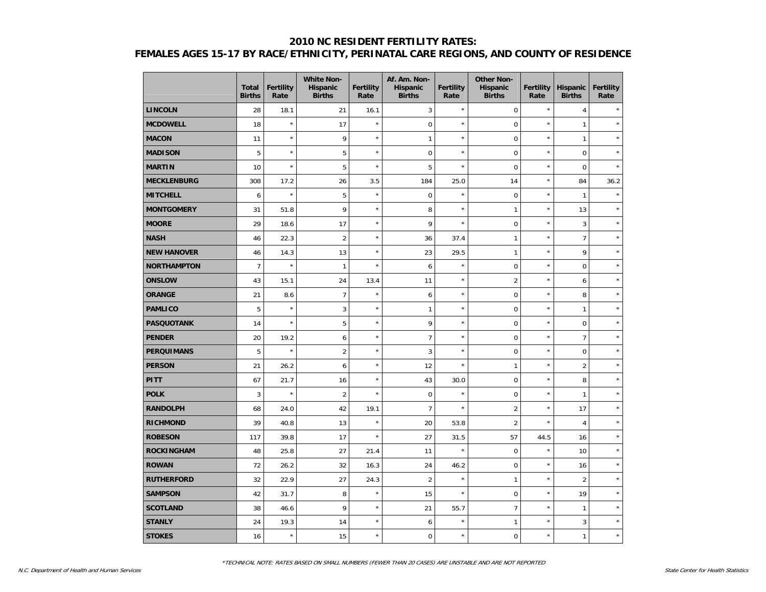## **2010 NC RESIDENT FERTILITY RATES: FEMALES AGES 15-17 BY RACE/ETHNICITY, PERINATAL CARE REGIONS, AND COUNTY OF RESIDENCE**

|                    | <b>Total</b><br><b>Births</b> | <b>Fertility</b><br>Rate | <b>White Non-</b><br>Hispanic<br><b>Births</b> | Fertility<br>Rate | Af. Am. Non-<br><b>Hispanic</b><br><b>Births</b> | <b>Fertility</b><br>Rate | <b>Other Non-</b><br><b>Hispanic</b><br><b>Births</b> | <b>Fertility</b><br>Rate | Hispanic<br><b>Births</b> | <b>Fertility</b><br>Rate |
|--------------------|-------------------------------|--------------------------|------------------------------------------------|-------------------|--------------------------------------------------|--------------------------|-------------------------------------------------------|--------------------------|---------------------------|--------------------------|
| <b>LINCOLN</b>     | 28                            | 18.1                     | 21                                             | 16.1              | 3                                                | $\star$                  | $\mathbf 0$                                           | $^{\star}$               | $\overline{4}$            |                          |
| <b>MCDOWELL</b>    | 18                            | $\star$                  | 17                                             | $\star$           | 0                                                | $\star$                  | $\mathbf 0$                                           | $\star$                  | $\mathbf{1}$              |                          |
| <b>MACON</b>       | 11                            | $\star$                  | 9                                              | $\star$           | $\mathbf{1}$                                     | $\star$                  | $\pmb{0}$                                             | $\star$                  | $\mathbf{1}$              |                          |
| <b>MADISON</b>     | 5                             | $\star$                  | 5                                              | $\star$           | 0                                                | $\star$                  | $\mathsf 0$                                           | $\star$                  | $\mathbf 0$               |                          |
| <b>MARTIN</b>      | 10                            | $\star$                  | 5                                              | $\star$           | 5                                                | $\star$                  | $\mathbf 0$                                           | $\star$                  | $\mathbf 0$               |                          |
| <b>MECKLENBURG</b> | 308                           | 17.2                     | 26                                             | 3.5               | 184                                              | 25.0                     | 14                                                    | $\star$                  | 84                        | 36.2                     |
| <b>MITCHELL</b>    | 6                             | $\star$                  | 5                                              | $\star$           | 0                                                | $\star$                  | $\mathbf 0$                                           | $\star$                  | $\mathbf{1}$              |                          |
| <b>MONTGOMERY</b>  | 31                            | 51.8                     | 9                                              | $\star$           | 8                                                | $\star$                  | $\mathbf{1}$                                          | $\star$                  | 13                        |                          |
| <b>MOORE</b>       | 29                            | 18.6                     | 17                                             | $\star$           | 9                                                | $\star$                  | $\pmb{0}$                                             | $\star$                  | 3                         |                          |
| <b>NASH</b>        | 46                            | 22.3                     | $\overline{2}$                                 | $\star$           | 36                                               | 37.4                     | $\mathbf{1}$                                          | $\star$                  | $\overline{7}$            |                          |
| <b>NEW HANOVER</b> | 46                            | 14.3                     | 13                                             | $\star$           | 23                                               | 29.5                     | $\mathbf{1}$                                          | $\star$                  | 9                         | $\star$                  |
| <b>NORTHAMPTON</b> | $\overline{7}$                | $\star$                  | 1                                              | $\star$           | 6                                                | $\star$                  | $\mathsf 0$                                           | $\star$                  | $\mathbf 0$               |                          |
| <b>ONSLOW</b>      | 43                            | 15.1                     | 24                                             | 13.4              | 11                                               | $\star$                  | $\overline{2}$                                        | $\star$                  | 6                         |                          |
| <b>ORANGE</b>      | 21                            | 8.6                      | $\overline{7}$                                 | $\star$           | 6                                                | $\star$                  | $\mathbf 0$                                           | $\star$                  | 8                         |                          |
| <b>PAMLICO</b>     | 5                             | $\star$                  | 3                                              | $\star$           | $\mathbf{1}$                                     | $\star$                  | $\mathbf 0$                                           | $\star$                  | $\mathbf{1}$              |                          |
| <b>PASQUOTANK</b>  | 14                            | $\star$                  | 5                                              | $\star$           | 9                                                | $\star$                  | $\mathbf 0$                                           | $\star$                  | $\mathbf 0$               |                          |
| <b>PENDER</b>      | 20                            | 19.2                     | 6                                              | $\star$           | $\overline{7}$                                   | $\star$                  | $\boldsymbol{0}$                                      | $\star$                  | $\overline{7}$            |                          |
| <b>PERQUIMANS</b>  | 5                             | $\star$                  | $\overline{c}$                                 | $\star$           | 3                                                | $\star$                  | $\mathsf 0$                                           | $\star$                  | $\mathbf 0$               |                          |
| <b>PERSON</b>      | 21                            | 26.2                     | 6                                              | $\star$           | 12                                               | $\star$                  | $\mathbf{1}$                                          | $\star$                  | $\overline{2}$            | ÷                        |
| <b>PITT</b>        | 67                            | 21.7                     | 16                                             | $\star$           | 43                                               | 30.0                     | $\mathbf 0$                                           | $\star$                  | 8                         |                          |
| <b>POLK</b>        | 3                             | ×                        | $\overline{2}$                                 | $\star$           | $\boldsymbol{0}$                                 | $\star$                  | $\mathbf 0$                                           | $\star$                  | $\mathbf{1}$              |                          |
| <b>RANDOLPH</b>    | 68                            | 24.0                     | 42                                             | 19.1              | $\overline{7}$                                   | $\star$                  | $\overline{2}$                                        | $\star$                  | 17                        |                          |
| <b>RICHMOND</b>    | 39                            | 40.8                     | 13                                             | $\star$           | 20                                               | 53.8                     | $\overline{2}$                                        | $\star$                  | $\overline{4}$            |                          |
| <b>ROBESON</b>     | 117                           | 39.8                     | 17                                             | $\star$           | 27                                               | 31.5                     | 57                                                    | 44.5                     | 16                        |                          |
| <b>ROCKINGHAM</b>  | 48                            | 25.8                     | 27                                             | 21.4              | 11                                               | $\star$                  | $\boldsymbol{0}$                                      | $\star$                  | 10                        |                          |
| <b>ROWAN</b>       | 72                            | 26.2                     | 32                                             | 16.3              | 24                                               | 46.2                     | $\mathbf 0$                                           | $\star$                  | 16                        | $\star$                  |
| <b>RUTHERFORD</b>  | 32                            | 22.9                     | 27                                             | 24.3              | $\overline{2}$                                   | $\star$                  | $\mathbf{1}$                                          | $\star$                  | $\overline{2}$            | $\star$                  |
| <b>SAMPSON</b>     | 42                            | 31.7                     | 8                                              | $\star$           | 15                                               | $\star$                  | $\mathbf 0$                                           | $\star$                  | 19                        |                          |
| <b>SCOTLAND</b>    | 38                            | 46.6                     | 9                                              | $\star$           | 21                                               | 55.7                     | $\overline{7}$                                        | $\star$                  | $\mathbf{1}$              |                          |
| <b>STANLY</b>      | 24                            | 19.3                     | 14                                             | $\star$           | 6                                                | $\star$                  | $\mathbf{1}$                                          | $\star$                  | 3                         |                          |
| <b>STOKES</b>      | 16                            | $\star$                  | 15                                             | $\star$           | 0                                                | $\star$                  | $\pmb{0}$                                             | $\star$                  | $\mathbf{1}$              |                          |